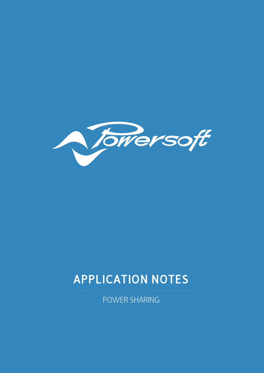

# APPLICATION NOTES

POWER SHARING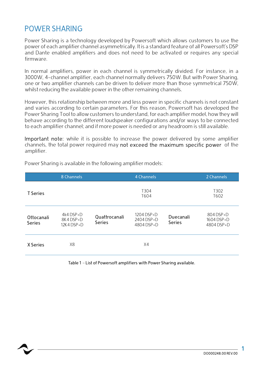#### POWER SHARING

Power Sharing is a technology developed by Powersoft which allows customers to use the power of each amplifier channel asymmetrically. It is a standard feature of all Powersoft's DSP and Dante enabled amplifiers and does not need to be activated or requires any special firmware.

In normal amplifiers, power in each channel is symmetrically divided. For instance, in a 3000W, 4-channel amplifier, each channel normally delivers 750W. But with Power Sharing, one or two amplifier channels can be driven to deliver more than those symmetrical 750W, whilst reducing the available power in the other remaining channels.

However, this relationship between more and less power in specific channels is not constant and varies according to certain parameters. For this reason, Powersoft has developed the Power Sharing Tool to allow customers to understand, for each amplifier model, how they will behave according to the different loudspeaker configurations and/or ways to be connected to each amplifier channel; and if more power is needed or any headroom is still available.

Important note: while it is possible to increase the power delivered by some amplifier channels, the total power required may not exceed the maximum specific power of the amplifier.

|                             | 8 Channels                          |                                | 4 Channels                               |                            | 2 Channels                            |
|-----------------------------|-------------------------------------|--------------------------------|------------------------------------------|----------------------------|---------------------------------------|
| <b>T</b> Series             |                                     |                                | T <sub>304</sub><br>T604                 |                            | T302<br>T602                          |
| Ottocanali<br><b>Series</b> | 4k4 DSP+D<br>8K4DSP+D<br>12K4 DSP+D | Quattrocanali<br><b>Series</b> | $1204$ DSP+D<br>2404 DSP+D<br>4804 DSP+D | Duecanali<br><b>Series</b> | 804 DSP+D<br>1604 DSP+D<br>4804 DSP+D |
| X Series                    | X8                                  |                                | X4                                       |                            |                                       |

Power Sharing is available in the following amplifier models:

Table 1 – List of Powersoft amplifiers with Power Sharing available.

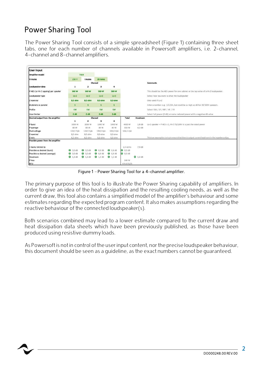### Power Sharing Tool

The Power Sharing Tool consists of a simple spreadsheet (Figure 1) containing three sheet tabs, one for each number of channels available in Powersoft amplifiers, i.e. 2-channel, 4-channel and 8-channel amplifiers.

| <b>User Input</b>                   |                  |                         |                         |                 |                 |                   |                                                                                                     |
|-------------------------------------|------------------|-------------------------|-------------------------|-----------------|-----------------|-------------------|-----------------------------------------------------------------------------------------------------|
| Amplifier model                     |                  | <b>T604</b>             |                         |                 |                 |                   |                                                                                                     |
| V mains                             | 230 V            | I mains                 | 20 Arms                 |                 |                 |                   |                                                                                                     |
|                                     |                  |                         | Channel                 |                 |                 |                   | <b>Comments</b>                                                                                     |
| Loudspeaker data                    | $\mathbf{1}$     | $\overline{\mathbf{z}}$ | 3                       | 4               |                 |                   |                                                                                                     |
| P AES (or Hi-Z tapping) per speaker | 500 W            | 500 W                   | 500 W                   | 500 W           |                 |                   | This should be the AES power for one cabinet or the tap value of a Hi-Z loudspeaker.                |
| Loudspeaker type                    | $Lo-2$           | $L_0 - Z$               | $Lo-Z$                  | $Lo-Z$          |                 |                   | Select how you want to drive the loudspeaker                                                        |
| Z nominal                           | 8,0 ohm          | 8,0 ohm                 | 8,0 ohm                 | 8,0 ohm         |                 |                   | Only used if Lo-Z                                                                                   |
| #cabinets in parallel               | 1                | $\overline{1}$          | $\overline{\mathbf{1}}$ | $\mathbf{1}$    |                 |                   | Enter a number: e.g. 1/2/3/4, but could be as high as 40 for 70/100V speakers.                      |
| Profile                             | SW               | <b>SW</b>               | <b>SW</b>               | <b>SW</b>       |                 |                   | Select: SW / LF / MF / HF / FR                                                                      |
| <b>User limiter</b>                 | 0 <sub>d</sub> B | 0 <sub>d</sub> B        | 0 <sub>d</sub>          | 0 <sub>d</sub>  |                 |                   | Select full power (0 dB) or some reduced power with a negative dB value                             |
| Desired output from the amplifier   |                  |                         | Channel                 |                 | Total           | Headroom          |                                                                                                     |
|                                     | 1                | $\overline{\mathbf{z}}$ | з                       | 4               |                 |                   |                                                                                                     |
| P burst                             | 1000 W           | 1000 W                  | 1000 W                  | 1000 W          | 4000 W          | 1.8 dB            | Lo-Z speaker = P AES x 2, Hi-Z 70/100V it is just the rated power                                   |
| P average                           | 80 W             | 80 W                    | 80 W                    | 80 W            | 318 W           | $4.2$ dB          |                                                                                                     |
| Peak voltage                        | 126,5 Vpk        | 126,5 Vpk               | 126,5 Vpk               | 126,5 Vpk       | 126,5 Vpk       |                   |                                                                                                     |
| Z nominal                           | 8,0 ohm          | 8.0 ohm                 | 8,0 ohm                 | 8.0 ohm         |                 |                   |                                                                                                     |
| Z min                               | $6,2$ ohm        | 6,2 ohm                 | 6.2 ohm                 | 6,2 ohm         |                 |                   | This is an assumption to try to ensure that there is output current headroom in the impedance dips. |
| Possible power from the amplifier   |                  |                         |                         |                 |                 |                   |                                                                                                     |
| I mains limited to                  |                  |                         |                         |                 | 2.4 Arms        | 7.9 <sub>dB</sub> |                                                                                                     |
| Possible vs desired (burst)         | <b>3</b> 0.0 dB  | $0,0$ dB                | <b>@</b> 0.0 dB         | <b>0</b> 0.0 dB | <b>0</b> 0,0 dB |                   |                                                                                                     |
| Possible vs desired (average)       | <b>0</b> 0.0 dB  | <b>0</b> 0.0 dB         | <b>@</b> 0.0 dB         | <b>0</b> 0,0 dB | $ 0,0$ dB       |                   |                                                                                                     |
| Headroom                            | $ 1,2$ dB        | $ 1,2$ dB               | $ 1,2$ dB               | $ 1,2$ dB       |                 | 1,2 d8            |                                                                                                     |
| P loss                              |                  |                         |                         |                 | 140 W           |                   |                                                                                                     |
| <b>BTU</b>                          |                  |                         |                         |                 | 476 BTU/h       |                   |                                                                                                     |

Figure 1 – Power Sharing Tool for a 4-channel amplifier.

The primary purpose of this tool is to illustrate the Power Sharing capability of amplifiers. In order to give an idea of the heat dissipation and the resulting cooling needs, as well as the current draw, this tool also contains a simplified model of the amplifier's behaviour and some estimates regarding the expected program content. It also makes assumptions regarding the reactive behaviour of the connected loudspeaker(s).

Both scenarios combined may lead to a lower estimate compared to the current draw and heat dissipation data sheets which have been previously published, as those have been produced using resistive dummy loads.

As Powersoft is not in control of the user input content, nor the precise loudspeaker behaviour, this document should be seen as a guideline, as the exact numbers cannot be guaranteed.



 $\overline{\mathbf{z}}$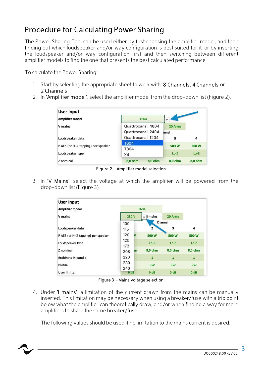## Procedure for Calculating Power Sharing

The Power Sharing Tool can be used either by first choosing the amplifier model, and then finding out which loudspeaker and/or way configuration is best suited for it; or by inserting the loudspeaker and/or way configuration first and then switching between different amplifier models to find the one that presents the best calculated performance.

To calculate the Power Sharing:

- 1. Start by selecting the appropriate sheet to work with: 8 Channels, 4 Channels or 2 Channels.
- 2. In 'Amplifier model', select the amplifier model from the drop-down list (Figure 2).

| <b>User Input</b>                   |                    |         |         |  |
|-------------------------------------|--------------------|---------|---------|--|
| <b>Amplifier model</b>              | <b>T604</b>        |         |         |  |
| V mains                             | Quattrocanali 4804 | 20 Arms |         |  |
|                                     | Quattrocanali 2404 | innel   |         |  |
| Loudspeaker data                    | Quattrocanali 1204 | 3       | 4       |  |
|                                     | <b>T604</b>        | 500 W   | 500 W   |  |
| P AES (or Hi-Z tapping) per speaker | T304               |         |         |  |
| Loudspeaker type                    | X4                 | $Lo-Z$  | $Lo-Z$  |  |
| Z nominal                           | 8,0 ohm<br>8.0 ohm | 8,0 ohm | 8,0 ohm |  |

Figure 2 – Amplifier model selection.

3. In 'V Mains', select the voltage at which the amplifier will be powered from the drop-down list (Figure 3).

| <b>User Input</b>                   |                  |                  |                  |                  |
|-------------------------------------|------------------|------------------|------------------|------------------|
| <b>Amplifier model</b>              |                  | <b>T604</b>      |                  |                  |
| <b>V</b> mains                      | 230 V            | I mains<br>÷     | 20 Arms          |                  |
|                                     | 100              |                  | Channel          |                  |
| Loudspeaker data                    | 115              | $\overline{2}$   | з                | 4                |
| P AES (or Hi-Z tapping) per speaker | 120<br>v         | <b>500 W</b>     | 500 W            | 500 W            |
| Loudspeaker type                    | 125<br>173       | $Lo-Z$           | $Lo-Z$           | $Lo-Z$           |
| Z nominal                           | m<br>208         | 8,0 ohm          | 8,0 ohm          | 8,0 ohm          |
| #cabinets in parallel               | 220              | $\mathbf{1}$     | $\mathbf{1}$     | $\mathbf{1}$     |
| Profile                             | 230<br>240       | <b>SW</b>        | <b>SW</b>        | <b>SW</b>        |
| <b>User limiter</b>                 | 0 <sub>d</sub> B | 0 <sub>d</sub> B | 0 <sub>d</sub> B | 0 <sub>d</sub> B |

Figure 3 – Mains voltage selection.

4. Under 'I mains', a limitation of the current drawn from the mains can be manually inserted. This limitation may be necessary when using a breaker/fuse with a trip point below what the amplifier can theoretically draw, and/or when finding a way for more amplifiers to share the same breaker/fuse.

The following values should be used if no limitation to the mains current is desired:

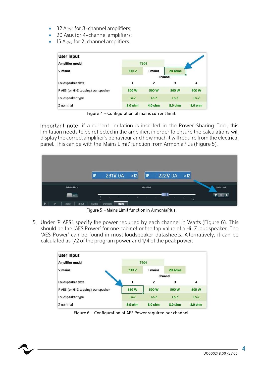- 32 ARMS for 8-channel amplifiers;
- 20 ARMS for 4-channel amplifiers;
- 15 ARMS for 2-channel amplifiers.

| <b>User Input</b>                   |              |             |         |         |  |
|-------------------------------------|--------------|-------------|---------|---------|--|
| <b>Amplifier model</b>              |              | <b>T604</b> |         |         |  |
| V mains                             | 230 V        | I mains     | 20 Arms |         |  |
|                                     |              |             | Channel |         |  |
| Loudspeaker data                    | $\mathbf{1}$ | 2           | 3       | 4       |  |
| P AES (or Hi-Z tapping) per speaker | 500 W        | 500 W       | 500 W   | 500 W   |  |
| Loudspeaker type                    | $Lo-Z$       | $Lo-Z$      | $Lo-Z$  | $Lo-Z$  |  |
| Z nominal                           | 8,0 ohm      | 4,0 ohm     | 8,0 ohm | 8,0 ohm |  |

Figure 4 – Configuration of mains current limit.

Important note: if a current limitation is inserted in the Power Sharing Tool, this limitation needs to be reflected in the amplifier, in order to ensure the calculations will display the correct amplifier's behaviour and how much it will require from the electrical panel. This can be with the 'Mains Limit' function from ArmoníaPlus (Figure 5).



Figure 5 – Mains Limit function in ArmoníaPlus.

5. Under 'P AES', specify the power required by each channel in Watts (Figure 6). This should be the 'AES Power' for one cabinet or the tap value of a Hi-Z loudspeaker. The 'AES Power' can be found in most loudspeaker datasheets. Alternatively, it can be calculated as 1/2 of the program power and 1/4 of the peak power.



Figure 6 – Configuration of AES Power required per channel.



 $\blacktriangle$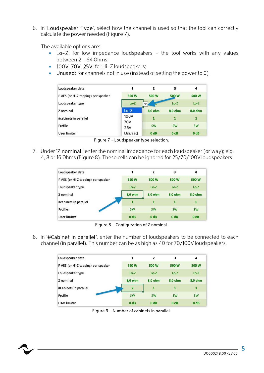6. In 'Loudspeaker Type', select how the channel is used so that the tool can correctly calculate the power needed (Figure 7).

The available options are:

- Lo-Z: for low impedance loudspeakers the tool works with any values between 2 – 64 Ohms;
- 100V, 70V, 25V: for Hi-Z loudspeakers;
- Unused: for channels not in use (instead of setting the power to 0).

| Loudspeaker data                    | 1                  | 2                | 3                | 4                |
|-------------------------------------|--------------------|------------------|------------------|------------------|
| P AES (or Hi-Z tapping) per speaker | <b>550 W</b>       | 500 W            | 500 W            | 500 W            |
| Loudspeaker type                    | $Lo-Z$             |                  | $Lo-Z$           | $Lo-Z$           |
| Z nominal                           | $Lo-Z$             | 8,0 ohm          | 8.0 ohm          | 8,0 ohm          |
| #cabinets in parallel               | 100V<br><b>70V</b> | 1                | 1                | 1                |
| Profile                             | <b>25V</b>         | <b>SW</b>        | <b>SW</b>        | <b>SW</b>        |
| User limiter                        | Unused             | 0 <sub>d</sub> B | 0 <sub>d</sub> B | 0 <sub>d</sub> B |

Figure 7 – Loudspeaker type selection.

7. Under 'Z nominal', enter the nominal impedance for each loudspeaker (or way); e.g. 4, 8 or 16 Ohms (Figure 8). These cells can be ignored for 25/70/100V loudspeakers.

| Loudspeaker data                    | 1                | $\overline{2}$   | 3                | 4                |
|-------------------------------------|------------------|------------------|------------------|------------------|
| P AES (or Hi-Z tapping) per speaker | 550 W            | 500 W            | 500 W            | 500 W            |
| Loudspeaker type                    | $Lo-Z$           | $Lo-Z$           | $Lo-Z$           | $Lo-Z$           |
| Z nominal                           | 8,0 ohm          | 8,0 ohm          | 8,0 ohm          | 8,0 ohm          |
| #cabinets in parallel               | 1                | 1                | 1                | $\mathbf{1}$     |
| Profile                             | <b>SW</b>        | <b>SW</b>        | <b>SW</b>        | <b>SW</b>        |
| User limiter                        | 0 <sub>d</sub> B | 0 <sub>d</sub> B | 0 <sub>d</sub> B | 0 <sub>d</sub> B |

Figure 8 – Configuration of Z nominal.

8. In '#Cabinet in parallel', enter the number of loudspeakers to be connected to each channel (in parallel). This number can be as high as 40 for 70/100V loudspeakers.

| Loudspeaker data                    | 1                | 2                | 3                | 4                |
|-------------------------------------|------------------|------------------|------------------|------------------|
| P AES (or Hi-Z tapping) per speaker | 550W             | 500 W            | 500 W            | 500 W            |
| Loudspeaker type                    | $Lo-Z$           | $Lo-Z$           | $Lo-Z$           | $Lo-Z$           |
| Z nominal                           | 8,0 ohm          | 8,0 ohm          | 8,0 ohm          | 8,0 ohm          |
| #Cabinets in parallel               | 2                | 1                | 1                | 1                |
| Profile                             | <b>SW</b>        | <b>SW</b>        | <b>SW</b>        | <b>SW</b>        |
| User limiter                        | 0 <sub>d</sub> B | 0 <sub>d</sub> B | 0 <sub>d</sub> B | 0 <sub>d</sub> B |

Figure 9 – Number of cabinets in parallel.

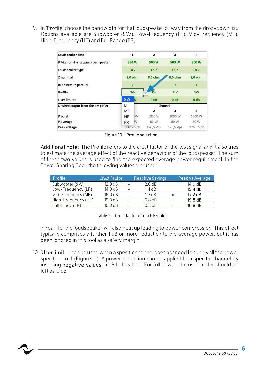9. In 'Profile' choose the bandwidth for that loudspeaker or way from the drop-down list. Options available are Subwoofer (SW), Low-Frequency (LF), Mid-Frequency (MF), High-Frequency (HF) and Full Range (FR).

| Loudspeaker data                    | 1                                   |           | $\overline{2}$   | 3                | 4                                 |  |
|-------------------------------------|-------------------------------------|-----------|------------------|------------------|-----------------------------------|--|
| P AES (or Hi-Z tapping) per speaker | 550 W                               |           | 500 W            | 500 W            | 500 W                             |  |
| Loudspeaker type                    | $Lo-Z$<br>8,0 ohm<br>$\overline{2}$ |           | $Lo-Z$           | $Lo-Z$           | $Lo-Z$<br>8,0 ohm<br>$\mathbf{1}$ |  |
| Z nominal                           |                                     |           | 8,0 ohm          | 8,0 ohm          |                                   |  |
| #Cabinets in parallel               |                                     |           |                  | 1                |                                   |  |
| Profile                             |                                     | <b>SW</b> | <b>SW</b>        | <b>SW</b>        | <b>SW</b>                         |  |
| <b>User limiter</b>                 | <b>SW</b>                           |           | 0 <sub>d</sub> B | 0 <sub>d</sub> B | 0 <sub>d</sub> B                  |  |
| Desired output from the amplifier   | LF                                  |           |                  | Channel          |                                   |  |
|                                     | MF                                  |           | 2                | 3                | 4                                 |  |
| P burst                             | HF                                  | W         | 1000 W           | 1000 W           | 1000 W                            |  |
| P average                           | <b>FR</b>                           | W         | 80 W             | 80 W             | 80 W                              |  |
| Peak voltage                        |                                     | 132,7 Vpk | 126,5 Vpk        | 126,5 Vpk        | 126,5 Vpk                         |  |

Figure 10 – Profile selection.

Additional note: The Profile refers to the crest factor of the test signal and it also tries to estimate the average effect of the reactive behaviour of the loudspeaker. The sum of these two values is used to find the expected average power requirement. In the Power Sharing Tool, the following values are used:

| Profile             | <b>Crest Factor</b> |           | <b>Reactive Savings</b> | Peak vs Average |
|---------------------|---------------------|-----------|-------------------------|-----------------|
| Subwoofer (SW)      | 12.0 dB             |           | 2.0 dB                  | 14.0 dB         |
| Low-Frequency (LF)  | 14.0 dB             |           | $1.4 \text{ dB}$        | 15.4 dB         |
| Mid-Frequency (MF)  | 16.0 dB             | $\ddot{}$ | $1.2 \text{ dB}$        | $17.2$ dB       |
| High-Frequency (HF) | 19.0 dB             |           | $0.8$ dB                | 19.8 dB         |
| Full Range (FR)     | 16.0 dB             |           | $0.8$ dB                | 16.8 dB         |

Table 2 – Crest factor of each Profile.

In real life, the loudspeaker will also heat up leading to power compression. This effect typically comprises a further 1 dB or more reduction to the average power, but it has been ignored in this tool as a safety margin.

10. 'User limiter' can be used when a specific channel does not need to supply all the power specified to it (Figure 11). A power reduction can be applied to a specific channel by inserting **negative values** in dB to this field. For full power, the user limiter should be left as '0 dB'.

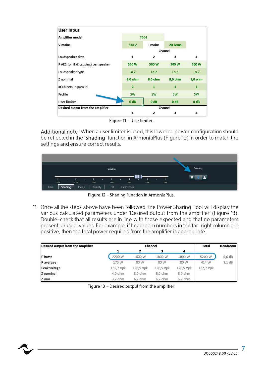| <b>User Input</b>                   |                  |                  |                  |                  |
|-------------------------------------|------------------|------------------|------------------|------------------|
| <b>Amplifier model</b>              |                  | <b>T604</b>      |                  |                  |
| V mains                             | 230 V            | I mains          | 20 Arms          |                  |
|                                     |                  |                  | Channel          |                  |
| Loudspeaker data                    | $\mathbf{1}$     | 2                | 3                | 4                |
| P AES (or Hi-Z tapping) per speaker | 550 W            | 500 W            | 500 W            | 500 W            |
| Loudspeaker type                    | $Lo-Z$           | $Lo-Z$           | $Lo-Z$           | $Lo-Z$           |
| Z nominal                           | 8,0 ohm          | 8,0 ohm          | 8,0 ohm          | 8,0 ohm          |
| #Cabinets in parallel               | $\overline{2}$   | $\mathbf{1}$     | $\mathbf{1}$     | $\mathbf{1}$     |
| Profile                             | <b>SW</b>        | <b>SW</b>        | <b>SW</b>        | <b>SW</b>        |
| <b>User limiter</b>                 | 0 <sub>d</sub> B | 0 <sub>d</sub> B | 0 <sub>d</sub> B | 0 <sub>d</sub> B |
| Desired output from the amplifier   |                  |                  | Channel          |                  |
|                                     | 1                | 2                | 3                | 4                |

Figure 11 – User limiter.

Additional note: When a user limiter is used, this lowered power configuration should be reflected in the 'Shading' function in ArmoníaPlus (Figure 12) in order to match the settings and ensure correct results.



Figure 12 – Shading Function in ArmoníaPlus.

11. Once all the steps above have been followed, the Power Sharing Tool will display the various calculated parameters under 'Desired output from the amplifier' (Figure 13). Double-check that all results are in line with those expected and that no parameters present unusual values. For example, if headroom numbers in the far-right column are positive, then the total power required from the amplifier is appropriate.

| Desired output from the amplifier |           | Channel   |           |           |           |          |
|-----------------------------------|-----------|-----------|-----------|-----------|-----------|----------|
|                                   |           |           | з         | 4         |           |          |
| P burst                           | 2200 W    | 1000 W    | 1000 W    | 1000 W    | 5200 W    | $0,6$ dB |
| P average                         | 175 W     | 80 W      | 80 W      | 80 W      | 414 W     | $3,1$ dB |
| Peak voltage                      | 132,7 Vpk | 126,5 Vpk | 126,5 Vpk | 126,5 Vpk | 132,7 Vpk |          |
| Z nominal                         | 4,0 ohm   | 8,0 ohm   | 8,0 ohm   | 8,0 ohm   |           |          |
| Z min                             | 3,2 ohm   | 6,2 ohm   | $6,2$ ohm | 6,2 ohm   |           |          |

Figure 13 – Desired output from the amplifier.

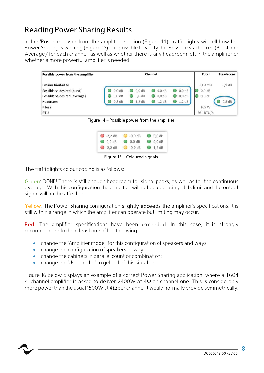### Reading Power Sharing Results

In the 'Possible power from the amplifier' section (Figure 14), traffic lights will tell how the Power Sharing is working (Figure 15). It is possible to verify the 'Possible vs. desired (Burst and Average)' for each channel, as well as whether there is any headroom left in the amplifier or whether a more powerful amplifier is needed.



Figure 14 – Possible power from the amplifier.



Figure 15 – Coloured signals.

The traffic lights colour coding is as follows:

Green: DONE! There is still enough headroom for signal peaks, as well as for the continuous average. With this configuration the amplifier will not be operating at its limit and the output signal will not be affected.

Yellow: The Power Sharing configuration slightly exceeds the amplifier's specifications. It is still within a range in which the amplifier can operate but limiting may occur.

Red: The amplifier specifications have been exceeded. In this case, it is strongly recommended to do at least one of the following:

- change the 'Amplifier model' for this configuration of speakers and ways;
- change the configuration of speakers or ways;
- $\bullet$  change the cabinets in parallel count or combination;
- change the 'User limiter' to get out of this situation.

Figure 16 below displays an example of a correct Power Sharing application, where a T604 4-channel amplifier is asked to deliver 2400W at  $4\Omega$  on channel one. This is considerably more power than the usual 1500W at 4 $\Omega$  per channel it would normally provide symmetrically.

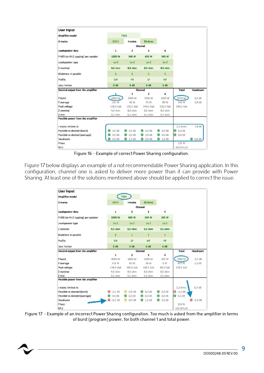| <b>User Input</b>                   |                  |                         |                   |                    |                   |          |
|-------------------------------------|------------------|-------------------------|-------------------|--------------------|-------------------|----------|
| Amplifier model                     | <b>T604</b>      |                         | 20 Arms           |                    |                   |          |
| V mains                             | 230 V            | I mains                 |                   |                    |                   |          |
|                                     |                  | Channel                 |                   |                    |                   |          |
| Loudspeaker data                    | $\mathbf{1}$     | $\overline{\mathbf{z}}$ | 3                 | 4                  |                   |          |
| P AES (or Hi-Z tapping) per speaker | 1200 W           | 500 W                   | 650 W             | 500 W              |                   |          |
| Loudspeaker type                    | $Lo-Z$           | $Lo-Z$                  | $Lo-Z$            | $Lo-Z$             |                   |          |
| Z nominal                           | 4,0 ohm          | 8,0 ohm                 | 8,0 ohm           | 8,0 ohm            |                   |          |
| #Cabinets in parallel               | $\mathbf{1}$     | $\mathbf{1}$            | 1                 | $\mathbf{1}$       |                   |          |
| Profile                             | <b>SW</b>        | <b>FR</b>               | LF                | MF                 |                   |          |
| <b>User limiter</b>                 | 0 <sub>d</sub> B | 0 <sub>d</sub> B        | 0 <sub>d</sub> B  | 0 <sub>d</sub> B   |                   |          |
| Desired output from the amplifier   |                  | Channel                 |                   |                    | Total             | Headroom |
|                                     | $\mathbf{1}$     | $\overline{2}$          | 3                 | 4                  |                   |          |
| P burst                             | 2400 W           | 1000 W                  | 1300 W            | 1000 W             | 5700 W            | $0,2$ dB |
| P average                           | 191 W            | 42 W                    | 75 W              | 38 W               | 346 W             | 3.9 dB   |
| Peak voltage                        | 138,6 Vpk        | 126,5 Vpk               | 144,2 Vpk         | 126,5 Vpk          | 144,2 Vpk         |          |
| Z nominal                           | 4,0 ohm          | 8,0 ohm                 | 8,0 ohm           | 8,0 ohm            |                   |          |
| Z min                               | 3,2 ohm          | 6,2 ohm.                | 6,2 ohm           | 6,2 ohm            |                   |          |
| Possible power from the amplifier   |                  |                         |                   |                    |                   |          |
| I mains limited to                  |                  |                         |                   |                    | 2,5 Arms          | $7,8$ dB |
| Possible vs desired (burst)         | $0,0$ dB         | $0.0$ dB                | $0,0$ dB          | $0,0$ dB           | $0,0$ dB          |          |
| Possible vs desired (average)       | $0,0$ dB         | 0.0 <sub>dB</sub>       | $0,0$ dB          | 0.0 <sub>d</sub> B | 0.0 <sub>dB</sub> |          |
| Headroom                            | $0,4$ dB         | $1,2$ dB<br>0           | $\bigcirc$ 0.0 dB | $ 1,2$ dB          |                   | © 0,0 dB |
| P loss                              |                  |                         |                   |                    | 125 W             |          |
| <b>BTU</b>                          |                  |                         |                   |                    | 428 BTU/h         |          |

Figure 16 – Example of correct Power Sharing configuration.

Figure 17 below displays an example of a not recommendable Power Sharing application. In this configuration, channel one is asked to deliver more power than it can provide with Power Sharing. At least one of the solutions mentioned above should be applied to correct the issue.

| <b>User Input</b>                                                                                                                                                                 |                  |                         |                                                                           |                                                                                  |                      |           |
|-----------------------------------------------------------------------------------------------------------------------------------------------------------------------------------|------------------|-------------------------|---------------------------------------------------------------------------|----------------------------------------------------------------------------------|----------------------|-----------|
| <b>Amplifier model</b><br>V mains<br>Loudspeaker data<br>P AES (or Hi-Z tapping) per speaker<br>Loudspeaker type<br>Z nominal<br>#Cabinets in parallel<br>Profile<br>User limiter |                  | <b>T604</b>             |                                                                           |                                                                                  |                      |           |
|                                                                                                                                                                                   | 230 V            | I mains                 | 20 Arms                                                                   |                                                                                  |                      |           |
|                                                                                                                                                                                   |                  | Channel                 |                                                                           |                                                                                  |                      |           |
|                                                                                                                                                                                   | 1                | $\overline{\mathbf{2}}$ | 3<br>500 W<br>$Lo-Z$<br>8,0 ohm<br>$\mathbf{1}$<br>MF<br>0 <sub>d</sub> B | 4<br>200 W<br>$Lo-Z$<br>8,0 ohm<br>$\mathbf{1}$<br><b>HF</b><br>0 <sub>d</sub> B |                      |           |
|                                                                                                                                                                                   | 1000 W           | 800 W                   |                                                                           |                                                                                  |                      |           |
|                                                                                                                                                                                   | $Lo-Z$           | $Lo-Z$                  |                                                                           |                                                                                  |                      |           |
|                                                                                                                                                                                   | 8,0 ohm          | 8,0 ohm                 |                                                                           |                                                                                  |                      |           |
|                                                                                                                                                                                   | $\overline{2}$   | $\mathbf{1}$<br>LF      |                                                                           |                                                                                  |                      |           |
|                                                                                                                                                                                   | <b>SW</b>        |                         |                                                                           |                                                                                  |                      |           |
|                                                                                                                                                                                   | 0 <sub>d</sub> B | 0 <sub>d</sub> B        |                                                                           |                                                                                  |                      |           |
| Desired output from the amplifier                                                                                                                                                 |                  | Channel                 | Total                                                                     | Headroom                                                                         |                      |           |
|                                                                                                                                                                                   | $\mathbf{1}$     | $\overline{2}$          | 3                                                                         | 4                                                                                |                      |           |
| P burst                                                                                                                                                                           | 4000 W           | 1600 W                  | 1000 W                                                                    | 400 W                                                                            | 7000 W               | $-0.7 dB$ |
| P average                                                                                                                                                                         | 318 W            | 92 W                    | 38 W                                                                      | 8 W                                                                              | 457 W                | $2,6$ dB  |
| Peak voltage                                                                                                                                                                      | 178,9 Vpk        | 160,0 Vpk               | 126,5 Vpk                                                                 | 80,0 Vpk                                                                         | 178,9 Vpk            |           |
| Z nominal                                                                                                                                                                         | 4.0 ohm          | 8,0 ohm                 | 8.0 ohm                                                                   | 8,0 ohm                                                                          |                      |           |
| Z min                                                                                                                                                                             | 3,2 ohm          | 6,2 ohm                 | 6,2 ohm                                                                   | 6,2 ohm                                                                          |                      |           |
| Possible power from the amplifier                                                                                                                                                 |                  |                         |                                                                           |                                                                                  |                      |           |
| I mains limited to                                                                                                                                                                |                  |                         |                                                                           |                                                                                  | 3,2 Arms             | $6,7$ dB  |
| Possible vs desired (burst)                                                                                                                                                       | $-2.2$ dB        | $-0.9$ dB               | $0.0 \text{ dB}$                                                          | $0.0$ dB                                                                         | $-2,2$ dB<br>$\circ$ |           |
| Possible vs desired (average)                                                                                                                                                     | $0,0$ dB         | $\bigcirc$ 0,0 dB       | $0.0$ dB                                                                  | $0.0$ dB                                                                         | $0,0$ dB<br>0        |           |
| Headroom                                                                                                                                                                          | D<br>$-2.2$ dB   | $-0.9$ dB               | $0, 1.2$ dB                                                               | 5.2 dB                                                                           |                      | $-2,2$ dB |
| P loss                                                                                                                                                                            |                  |                         |                                                                           |                                                                                  | 154 W                |           |
| <b>BTU</b>                                                                                                                                                                        |                  |                         |                                                                           |                                                                                  | 525 BTU/h            |           |

Figure 17 – Example of an incorrect Power Sharing configuration. Too much is asked from the amplifier in terms of burst (program) power, for both channel 1 and total power.